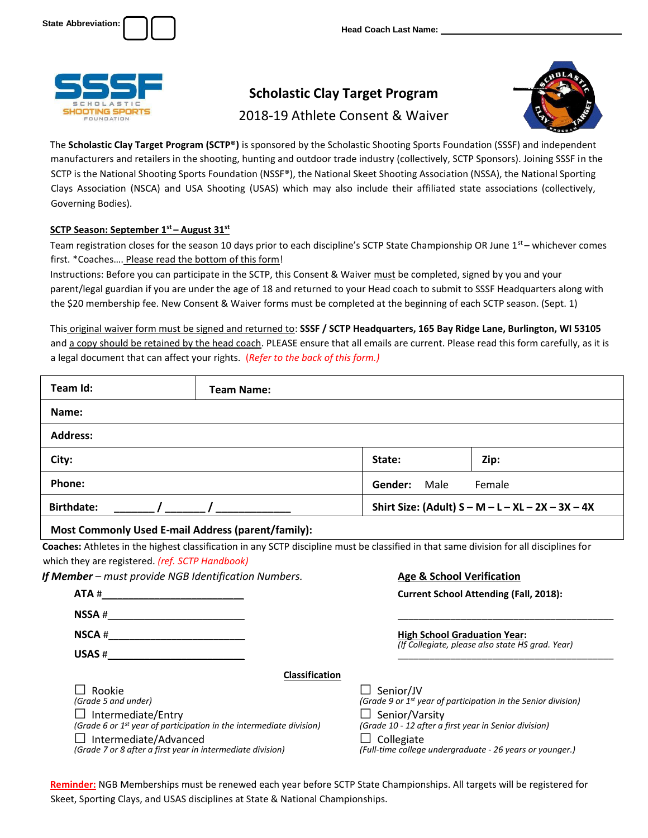



# **Scholastic Clay Target Program**

## 2018-19 Athlete Consent & Waiver



The **Scholastic Clay Target Program (SCTP®)** is sponsored by the Scholastic Shooting Sports Foundation (SSSF) and independent manufacturers and retailers in the shooting, hunting and outdoor trade industry (collectively, SCTP Sponsors). Joining SSSF in the SCTP is the National Shooting Sports Foundation (NSSF®), the National Skeet Shooting Association (NSSA), the National Sporting Clays Association (NSCA) and USA Shooting (USAS) which may also include their affiliated state associations (collectively, Governing Bodies).

### **SCTP Season: September 1st – August 31st**

Team registration closes for the season 10 days prior to each discipline's SCTP State Championship OR June  $1^{st}$  – whichever comes first. \*Coaches…. Please read the bottom of this form!

Instructions: Before you can participate in the SCTP, this Consent & Waiver must be completed, signed by you and your parent/legal guardian if you are under the age of 18 and returned to your Head coach to submit to SSSF Headquarters along with the \$20 membership fee. New Consent & Waiver forms must be completed at the beginning of each SCTP season. (Sept. 1)

This original waiver form must be signed and returned to: **SSSF / SCTP Headquarters, 165 Bay Ridge Lane, Burlington, WI 53105** and a copy should be retained by the head coach. PLEASE ensure that all emails are current. Please read this form carefully, as it is a legal document that can affect your rights. (*Refer to the back of this form.)*

| Team Id:          |                                                                                                                                                                                                                                                                                                                                                                                          | <b>Team Name:</b>                                    |                                                     |                                                                                                                              |  |
|-------------------|------------------------------------------------------------------------------------------------------------------------------------------------------------------------------------------------------------------------------------------------------------------------------------------------------------------------------------------------------------------------------------------|------------------------------------------------------|-----------------------------------------------------|------------------------------------------------------------------------------------------------------------------------------|--|
| Name:             |                                                                                                                                                                                                                                                                                                                                                                                          |                                                      |                                                     |                                                                                                                              |  |
| <b>Address:</b>   |                                                                                                                                                                                                                                                                                                                                                                                          |                                                      |                                                     |                                                                                                                              |  |
| City:             |                                                                                                                                                                                                                                                                                                                                                                                          |                                                      | State:                                              | Zip:                                                                                                                         |  |
| Phone:            |                                                                                                                                                                                                                                                                                                                                                                                          |                                                      | Gender: Male                                        | Female                                                                                                                       |  |
| <b>Birthdate:</b> |                                                                                                                                                                                                                                                                                                                                                                                          |                                                      | Shirt Size: (Adult) $S - M - L - XL - 2X - 3X - 4X$ |                                                                                                                              |  |
|                   |                                                                                                                                                                                                                                                                                                                                                                                          |                                                      |                                                     |                                                                                                                              |  |
|                   | $\mathsf{NSSA}~\#$<br>$\begin{picture}(180,10) \put(0,0){\vector(1,0){100}} \put(15,0){\vector(1,0){100}} \put(15,0){\vector(1,0){100}} \put(15,0){\vector(1,0){100}} \put(15,0){\vector(1,0){100}} \put(15,0){\vector(1,0){100}} \put(15,0){\vector(1,0){100}} \put(15,0){\vector(1,0){100}} \put(15,0){\vector(1,0){100}} \put(15,0){\vector(1,0){100}} \put(15,0){\vector(1,0){100}}$ | If Member - must provide NGB Identification Numbers. |                                                     | <b>Age &amp; School Verification</b><br><b>Current School Attending (Fall, 2018):</b><br><b>High School Graduation Year:</b> |  |
|                   |                                                                                                                                                                                                                                                                                                                                                                                          |                                                      |                                                     | (If Collegiate, please also state HS grad. Year)                                                                             |  |
| Rookie            |                                                                                                                                                                                                                                                                                                                                                                                          | Classification                                       | $\Box$ Senior/JV                                    |                                                                                                                              |  |

**Reminder:** NGB Memberships must be renewed each year before SCTP State Championships. All targets will be registered for Skeet, Sporting Clays, and USAS disciplines at State & National Championships.